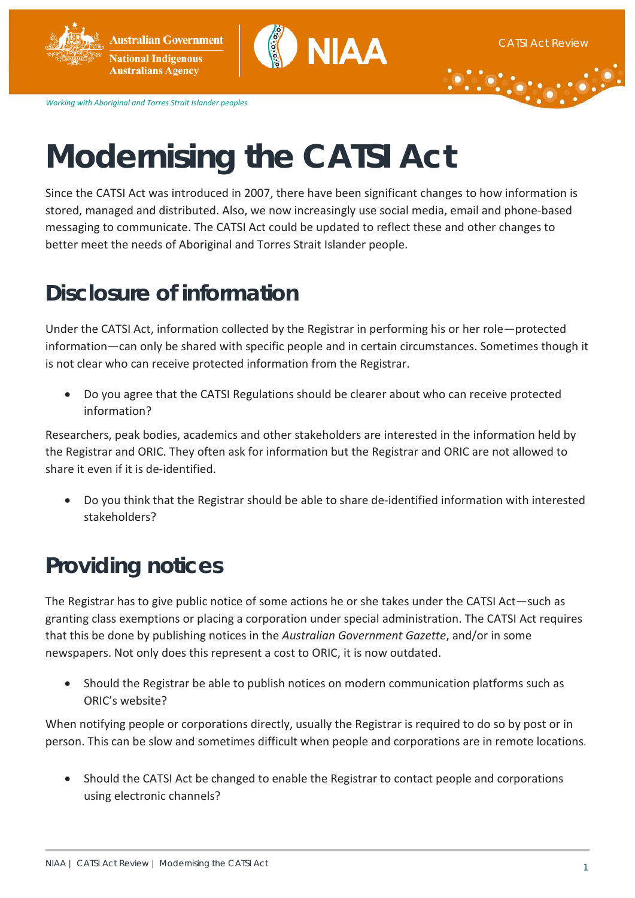**Australian Government National Indigenous Australians Agency** 



*Working with Aboriginal and Torres Strait Islander peoples*

# **Modernising the CATSI Act**

Since the CATSI Act was introduced in 2007, there have been significant changes to how information is stored, managed and distributed. Also, we now increasingly use social media, email and phone-based messaging to communicate. The CATSI Act could be updated to reflect these and other changes to better meet the needs of Aboriginal and Torres Strait Islander people.

# **Disclosure of information**

Under the CATSI Act, information collected by the Registrar in performing his or her role—protected information—can only be shared with specific people and in certain circumstances. Sometimes though it is not clear who can receive protected information from the Registrar.

• Do you agree that the CATSI Regulations should be clearer about who can receive protected information?

Researchers, peak bodies, academics and other stakeholders are interested in the information held by the Registrar and ORIC. They often ask for information but the Registrar and ORIC are not allowed to share it even if it is de-identified.

• Do you think that the Registrar should be able to share de-identified information with interested stakeholders?

## **Providing notices**

The Registrar has to give public notice of some actions he or she takes under the CATSI Act—such as granting class exemptions or placing a corporation under special administration. The CATSI Act requires that this be done by publishing notices in the *Australian Government Gazette*, and/or in some newspapers. Not only does this represent a cost to ORIC, it is now outdated.

• Should the Registrar be able to publish notices on modern communication platforms such as ORIC's website?

When notifying people or corporations directly, usually the Registrar is required to do so by post or in person. This can be slow and sometimes difficult when people and corporations are in remote locations.

• Should the CATSI Act be changed to enable the Registrar to contact people and corporations using electronic channels?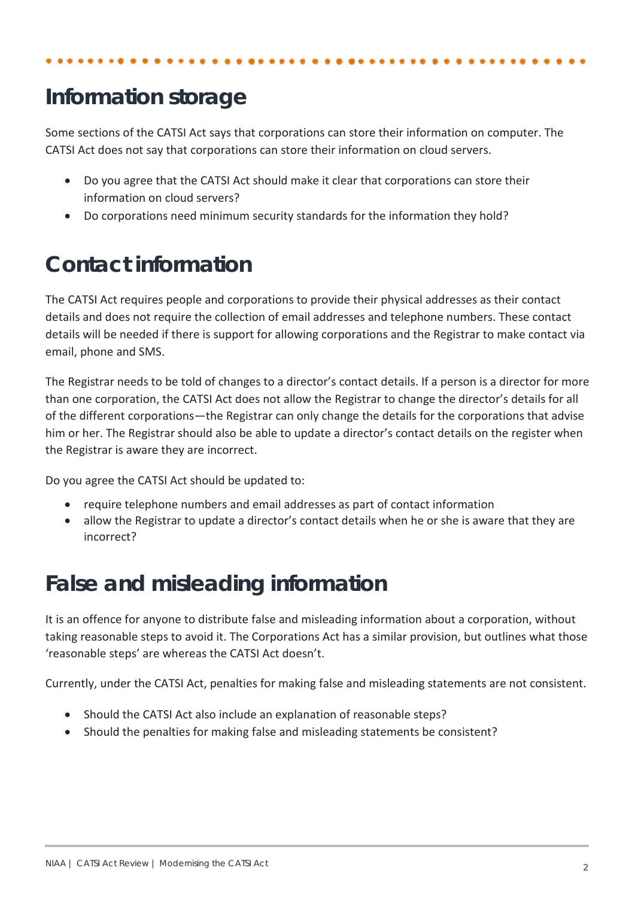# **Information storage**

Some sections of the CATSI Act says that corporations can store their information on computer. The CATSI Act does not say that corporations can store their information on cloud servers.

- Do you agree that the CATSI Act should make it clear that corporations can store their information on cloud servers?
- Do corporations need minimum security standards for the information they hold?

## **Contact information**

The CATSI Act requires people and corporations to provide their physical addresses as their contact details and does not require the collection of email addresses and telephone numbers. These contact details will be needed if there is support for allowing corporations and the Registrar to make contact via email, phone and SMS.

The Registrar needs to be told of changes to a director's contact details. If a person is a director for more than one corporation, the CATSI Act does not allow the Registrar to change the director's details for all of the different corporations—the Registrar can only change the details for the corporations that advise him or her. The Registrar should also be able to update a director's contact details on the register when the Registrar is aware they are incorrect.

Do you agree the CATSI Act should be updated to:

- require telephone numbers and email addresses as part of contact information
- allow the Registrar to update a director's contact details when he or she is aware that they are incorrect?

#### **False and misleading information**

It is an offence for anyone to distribute false and misleading information about a corporation, without taking reasonable steps to avoid it. The Corporations Act has a similar provision, but outlines what those 'reasonable steps' are whereas the CATSI Act doesn't.

Currently, under the CATSI Act, penalties for making false and misleading statements are not consistent.

- Should the CATSI Act also include an explanation of reasonable steps?
- Should the penalties for making false and misleading statements be consistent?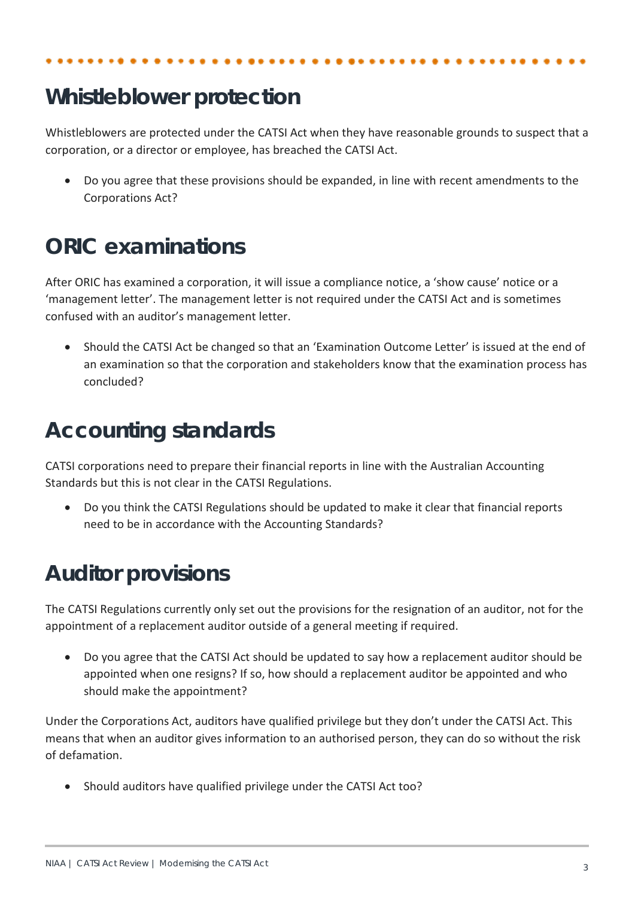# **Whistleblower protection**

Whistleblowers are protected under the CATSI Act when they have reasonable grounds to suspect that a corporation, or a director or employee, has breached the CATSI Act.

• Do you agree that these provisions should be expanded, in line with recent amendments to the Corporations Act?

#### **ORIC examinations**

After ORIC has examined a corporation, it will issue a compliance notice, a 'show cause' notice or a 'management letter'. The management letter is not required under the CATSI Act and is sometimes confused with an auditor's management letter.

• Should the CATSI Act be changed so that an 'Examination Outcome Letter' is issued at the end of an examination so that the corporation and stakeholders know that the examination process has concluded?

## **Accounting standards**

CATSI corporations need to prepare their financial reports in line with the Australian Accounting Standards but this is not clear in the CATSI Regulations.

• Do you think the CATSI Regulations should be updated to make it clear that financial reports need to be in accordance with the Accounting Standards?

## **Auditor provisions**

The CATSI Regulations currently only set out the provisions for the resignation of an auditor, not for the appointment of a replacement auditor outside of a general meeting if required.

• Do you agree that the CATSI Act should be updated to say how a replacement auditor should be appointed when one resigns? If so, how should a replacement auditor be appointed and who should make the appointment?

Under the Corporations Act, auditors have qualified privilege but they don't under the CATSI Act. This means that when an auditor gives information to an authorised person, they can do so without the risk of defamation.

• Should auditors have qualified privilege under the CATSI Act too?